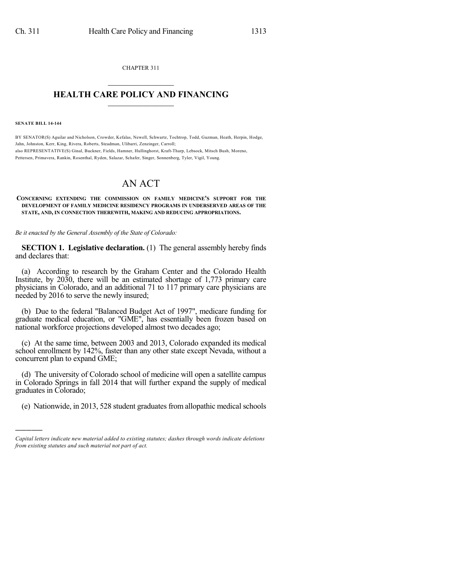CHAPTER 311  $\mathcal{L}_\text{max}$  . The set of the set of the set of the set of the set of the set of the set of the set of the set of the set of the set of the set of the set of the set of the set of the set of the set of the set of the set

## **HEALTH CARE POLICY AND FINANCING**  $\_$   $\_$   $\_$   $\_$   $\_$   $\_$   $\_$   $\_$

**SENATE BILL 14-144**

)))))

BY SENATOR(S) Aguilar and Nicholson, Crowder, Kefalas, Newell, Schwartz, Tochtrop, Todd, Guzman, Heath, Herpin, Hodge, Jahn, Johnston, Kerr, King, Rivera, Roberts, Steadman, Ulibarri, Zenzinger, Carroll; also REPRESENTATIVE(S) Ginal, Buckner, Fields, Hamner, Hullinghorst, Kraft-Tharp, Lebsock, Mitsch Bush, Moreno, Pettersen, Primavera, Rankin, Rosenthal, Ryden, Salazar, Schafer, Singer, Sonnenberg, Tyler, Vigil, Young.

## AN ACT

## **CONCERNING EXTENDING THE COMMISSION ON FAMILY MEDICINE'S SUPPORT FOR THE DEVELOPMENT OF FAMILY MEDICINE RESIDENCY PROGRAMS IN UNDERSERVED AREAS OF THE STATE, AND, IN CONNECTION THEREWITH, MAKING AND REDUCING APPROPRIATIONS.**

*Be it enacted by the General Assembly of the State of Colorado:*

**SECTION 1. Legislative declaration.** (1) The general assembly hereby finds and declares that:

(a) According to research by the Graham Center and the Colorado Health Institute, by 2030, there will be an estimated shortage of 1,773 primary care physicians in Colorado, and an additional 71 to 117 primary care physicians are needed by 2016 to serve the newly insured;

(b) Due to the federal "Balanced Budget Act of 1997", medicare funding for graduate medical education, or "GME", has essentially been frozen based on national workforce projections developed almost two decades ago;

(c) At the same time, between 2003 and 2013, Colorado expanded its medical school enrollment by 142%, faster than any other state except Nevada, without a concurrent plan to expand GME;

(d) The university of Colorado school of medicine will open a satellite campus in Colorado Springs in fall 2014 that will further expand the supply of medical graduates in Colorado;

(e) Nationwide, in 2013, 528 student graduates from allopathic medical schools

*Capital letters indicate new material added to existing statutes; dashes through words indicate deletions from existing statutes and such material not part of act.*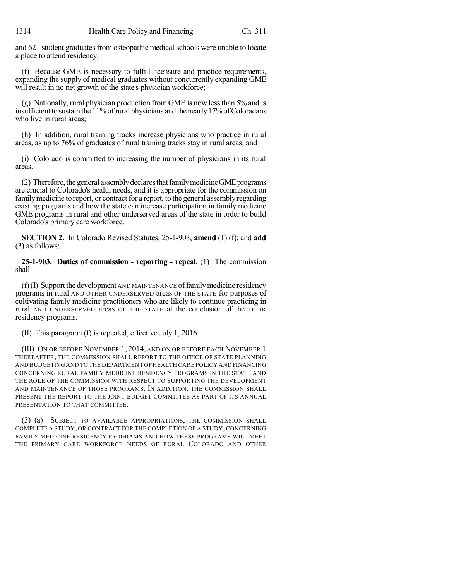and 621 student graduates from osteopathic medical schools were unable to locate a place to attend residency;

(f) Because GME is necessary to fulfill licensure and practice requirements, expanding the supply of medical graduates without concurrently expanding GME will result in no net growth of the state's physician workforce;

(g) Nationally, rural physician production fromGME is now lessthan 5% and is insufficientto sustain the 11%ofrural physicians and the nearly17%ofColoradans who live in rural areas;

(h) In addition, rural training tracks increase physicians who practice in rural areas, as up to 76% of graduates of rural training tracks stay in rural areas; and

(i) Colorado is committed to increasing the number of physicians in its rural areas.

 $(2)$  Therefore, the general assembly declares that family medicine GME programs are crucial to Colorado's health needs, and it is appropriate for the commission on family medicine to report, or contract for a report, to the general assembly regarding existing programs and how the state can increase participation in family medicine GME programs in rural and other underserved areas of the state in order to build Colorado's primary care workforce.

**SECTION 2.** In Colorado Revised Statutes, 25-1-903, **amend** (1) (f); and **add** (3) as follows:

**25-1-903. Duties of commission - reporting - repeal.** (1) The commission shall:

 $(f)$ (I) Support the development AND MAINTENANCE of family medicine residency programs in rural AND OTHER UNDERSERVED areas OF THE STATE for purposes of cultivating family medicine practitioners who are likely to continue practicing in rural AND UNDERSERVED areas OF THE STATE at the conclusion of the THEIR residency programs.

(II) This paragraph  $(f)$  is repealed, effective July 1, 2016.

(III) ON OR BEFORE NOVEMBER 1, 2014, AND ON OR BEFORE EACH NOVEMBER 1 THEREAFTER, THE COMMISSION SHALL REPORT TO THE OFFICE OF STATE PLANNING AND BUDGETING AND TO THE DEPARTMENT OFHEALTH CARE POLICY AND FINANCING CONCERNING RURAL FAMILY MEDICINE RESIDENCY PROGRAMS IN THE STATE AND THE ROLE OF THE COMMISSION WITH RESPECT TO SUPPORTING THE DEVELOPMENT AND MAINTENANCE OF THOSE PROGRAMS. IN ADDITION, THE COMMISSION SHALL PRESENT THE REPORT TO THE JOINT BUDGET COMMITTEE AS PART OF ITS ANNUAL PRESENTATION TO THAT COMMITTEE.

(3) (a) SUBJECT TO AVAILABLE APPROPRIATIONS, THE COMMISSION SHALL COMPLETE A STUDY, OR CONTRACT FOR THE COMPLETION OF A STUDY,CONCERNING FAMILY MEDICINE RESIDENCY PROGRAMS AND HOW THESE PROGRAMS WILL MEET THE PRIMARY CARE WORKFORCE NEEDS OF RURAL COLORADO AND OTHER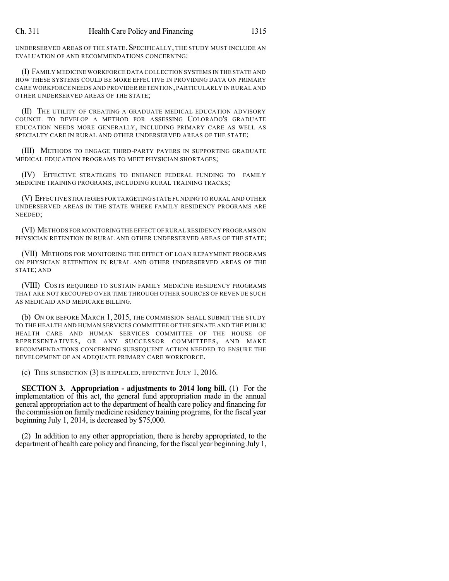UNDERSERVED AREAS OF THE STATE. SPECIFICALLY, THE STUDY MUST INCLUDE AN EVALUATION OF AND RECOMMENDATIONS CONCERNING:

(I) FAMILY MEDICINE WORKFORCE DATA COLLECTION SYSTEMS IN THE STATE AND HOW THESE SYSTEMS COULD BE MORE EFFECTIVE IN PROVIDING DATA ON PRIMARY CARE WORKFORCE NEEDS AND PROVIDER RETENTION,PARTICULARLY IN RURAL AND OTHER UNDERSERVED AREAS OF THE STATE;

(II) THE UTILITY OF CREATING A GRADUATE MEDICAL EDUCATION ADVISORY COUNCIL TO DEVELOP A METHOD FOR ASSESSING COLORADO'S GRADUATE EDUCATION NEEDS MORE GENERALLY, INCLUDING PRIMARY CARE AS WELL AS SPECIALTY CARE IN RURAL AND OTHER UNDERSERVED AREAS OF THE STATE;

(III) METHODS TO ENGAGE THIRD-PARTY PAYERS IN SUPPORTING GRADUATE MEDICAL EDUCATION PROGRAMS TO MEET PHYSICIAN SHORTAGES;

(IV) EFFECTIVE STRATEGIES TO ENHANCE FEDERAL FUNDING TO FAMILY MEDICINE TRAINING PROGRAMS, INCLUDING RURAL TRAINING TRACKS;

(V) EFFECTIVE STRATEGIES FOR TARGETING STATE FUNDING TO RURAL AND OTHER UNDERSERVED AREAS IN THE STATE WHERE FAMILY RESIDENCY PROGRAMS ARE NEEDED;

(VI) METHODS FOR MONITORINGTHE EFFECT OF RURAL RESIDENCY PROGRAMS ON PHYSICIAN RETENTION IN RURAL AND OTHER UNDERSERVED AREAS OF THE STATE;

(VII) METHODS FOR MONITORING THE EFFECT OF LOAN REPAYMENT PROGRAMS ON PHYSICIAN RETENTION IN RURAL AND OTHER UNDERSERVED AREAS OF THE STATE; AND

(VIII) COSTS REQUIRED TO SUSTAIN FAMILY MEDICINE RESIDENCY PROGRAMS THAT ARE NOT RECOUPED OVER TIME THROUGH OTHER SOURCES OF REVENUE SUCH AS MEDICAID AND MEDICARE BILLING.

(b) ON OR BEFORE MARCH 1, 2015, THE COMMISSION SHALL SUBMIT THE STUDY TO THE HEALTH AND HUMAN SERVICES COMMITTEE OF THE SENATE AND THE PUBLIC HEALTH CARE AND HUMAN SERVICES COMMITTEE OF THE HOUSE OF REPRESENTATIVES, OR ANY SUCCESSOR COMMITTEES, AND MAKE RECOMMENDATIONS CONCERNING SUBSEQUENT ACTION NEEDED TO ENSURE THE DEVELOPMENT OF AN ADEQUATE PRIMARY CARE WORKFORCE.

(c) THIS SUBSECTION (3) IS REPEALED, EFFECTIVE JULY 1, 2016.

**SECTION 3. Appropriation - adjustments to 2014 long bill.** (1) For the implementation of this act, the general fund appropriation made in the annual general appropriation act to the department of health care policy and financing for the commission on familymedicine residency training programs, for the fiscal year beginning July 1, 2014, is decreased by \$75,000.

(2) In addition to any other appropriation, there is hereby appropriated, to the department of health care policy and financing, for the fiscal year beginning July 1,